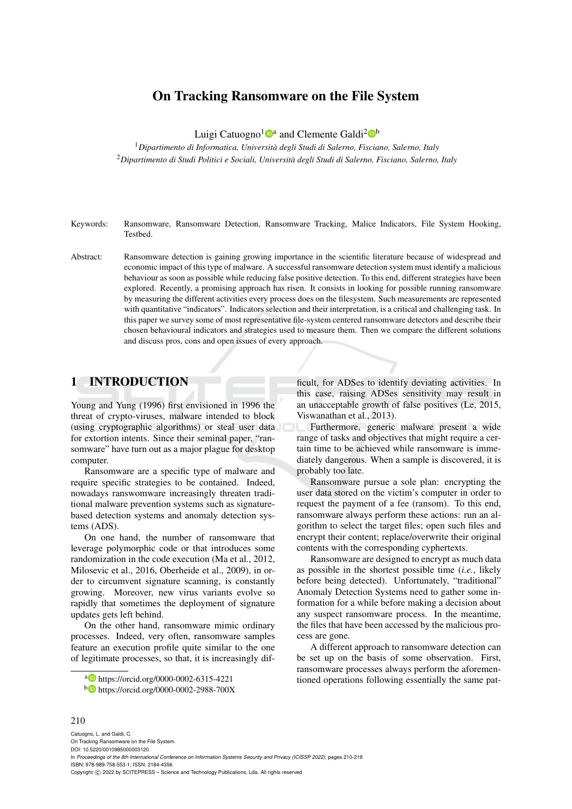# On Tracking Ransomware on the File System

Luigi Catuogno<sup>1</sup><sup>®</sup> and Clemente Galdi<sup>2</sup><sup>®</sup>

<sup>1</sup>*Dipartimento di Informatica, Universita degli Studi di Salerno, Fisciano, Salerno, Italy `* <sup>2</sup>*Dipartimento di Studi Politici e Sociali, Universita degli Studi di Salerno, Fisciano, Salerno, Italy `*

Keywords: Ransomware, Ransomware Detection, Ransomware Tracking, Malice Indicators, File System Hooking, Testbed.

Abstract: Ransomware detection is gaining growing importance in the scientific literature because of widespread and economic impact of this type of malware. A successful ransomware detection system must identify a malicious behaviour as soon as possible while reducing false positive detection. To this end, different strategies have been explored. Recently, a promising approach has risen. It consists in looking for possible running ransomware by measuring the different activities every process does on the filesystem. Such measurements are represented with quantitative "indicators". Indicators selection and their interpretation, is a critical and challenging task. In this paper we survey some of most representative file-system centered ransomware detectors and describe their chosen behavioural indicators and strategies used to measure them. Then we compare the different solutions and discuss pros, cons and open issues of every approach.

### 1 INTRODUCTION

Young and Yung (1996) first envisioned in 1996 the threat of crypto-viruses, malware intended to block (using cryptographic algorithms) or steal user data for extortion intents. Since their seminal paper, "ransomware" have turn out as a major plague for desktop computer.

Ransomware are a specific type of malware and require specific strategies to be contained. Indeed, nowadays ranswomware increasingly threaten traditional malware prevention systems such as signaturebased detection systems and anomaly detection systems (ADS).

On one hand, the number of ransomware that leverage polymorphic code or that introduces some randomization in the code execution (Ma et al., 2012, Milosevic et al., 2016, Oberheide et al., 2009), in order to circumvent signature scanning, is constantly growing. Moreover, new virus variants evolve so rapidly that sometimes the deployment of signature updates gets left behind.

On the other hand, ransomware mimic ordinary processes. Indeed, very often, ransomware samples feature an execution profile quite similar to the one of legitimate processes, so that, it is increasingly dif-

<sup>a</sup> https://orcid.org/0000-0002-6315-4221

ficult, for ADSes to identify deviating activities. In this case, raising ADSes sensitivity may result in an unacceptable growth of false positives (Le, 2015, Viswanathan et al., 2013).

Furthermore, generic malware present a wide range of tasks and objectives that might require a certain time to be achieved while ransomware is immediately dangerous. When a sample is discovered, it is probably too late.

Ransomware pursue a sole plan: encrypting the user data stored on the victim's computer in order to request the payment of a fee (ransom). To this end, ransomware always perform these actions: run an algorithm to select the target files; open such files and encrypt their content; replace/overwrite their original contents with the corresponding cyphertexts.

Ransomware are designed to encrypt as much data as possible in the shortest possible time (*i.e.*, likely before being detected). Unfortunately, "traditional" Anomaly Detection Systems need to gather some information for a while before making a decision about any suspect ransomware process. In the meantime, the files that have been accessed by the malicious process are gone.

A different approach to ransomware detection can be set up on the basis of some observation. First, ransomware processes always perform the aforementioned operations following essentially the same pat-

#### 210

<sup>b</sup> https://orcid.org/0000-0002-2988-700X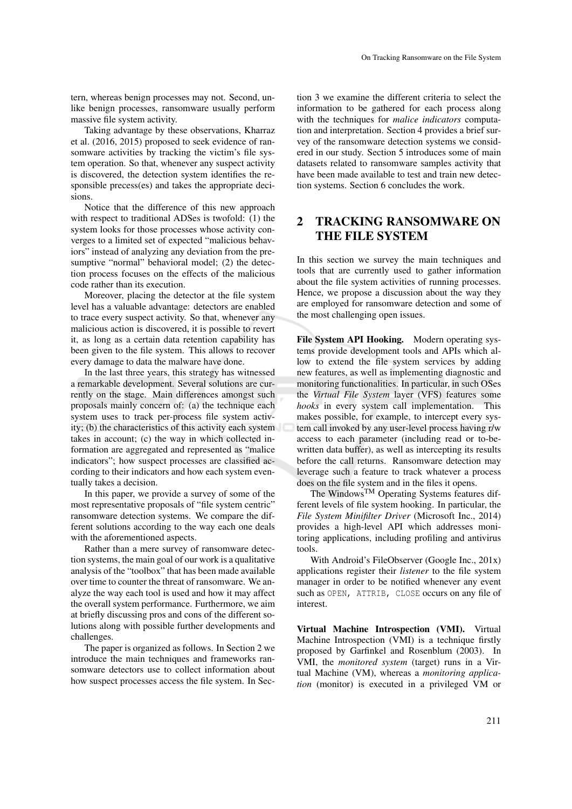tern, whereas benign processes may not. Second, unlike benign processes, ransomware usually perform massive file system activity.

Taking advantage by these observations, Kharraz et al. (2016, 2015) proposed to seek evidence of ransomware activities by tracking the victim's file system operation. So that, whenever any suspect activity is discovered, the detection system identifies the responsible precess(es) and takes the appropriate decisions.

Notice that the difference of this new approach with respect to traditional ADSes is twofold: (1) the system looks for those processes whose activity converges to a limited set of expected "malicious behaviors" instead of analyzing any deviation from the presumptive "normal" behavioral model; (2) the detection process focuses on the effects of the malicious code rather than its execution.

Moreover, placing the detector at the file system level has a valuable advantage: detectors are enabled to trace every suspect activity. So that, whenever any malicious action is discovered, it is possible to revert it, as long as a certain data retention capability has been given to the file system. This allows to recover every damage to data the malware have done.

In the last three years, this strategy has witnessed a remarkable development. Several solutions are currently on the stage. Main differences amongst such proposals mainly concern of: (a) the technique each system uses to track per-process file system activity; (b) the characteristics of this activity each system takes in account; (c) the way in which collected information are aggregated and represented as "malice indicators"; how suspect processes are classified according to their indicators and how each system eventually takes a decision.

In this paper, we provide a survey of some of the most representative proposals of "file system centric" ransomware detection systems. We compare the different solutions according to the way each one deals with the aforementioned aspects.

Rather than a mere survey of ransomware detection systems, the main goal of our work is a qualitative analysis of the "toolbox" that has been made available over time to counter the threat of ransomware. We analyze the way each tool is used and how it may affect the overall system performance. Furthermore, we aim at briefly discussing pros and cons of the different solutions along with possible further developments and challenges.

The paper is organized as follows. In Section 2 we introduce the main techniques and frameworks ransomware detectors use to collect information about how suspect processes access the file system. In Sec-

tion 3 we examine the different criteria to select the information to be gathered for each process along with the techniques for *malice indicators* computation and interpretation. Section 4 provides a brief survey of the ransomware detection systems we considered in our study. Section 5 introduces some of main datasets related to ransomware samples activity that have been made available to test and train new detection systems. Section 6 concludes the work.

# 2 TRACKING RANSOMWARE ON THE FILE SYSTEM

In this section we survey the main techniques and tools that are currently used to gather information about the file system activities of running processes. Hence, we propose a discussion about the way they are employed for ransomware detection and some of the most challenging open issues.

File System API Hooking. Modern operating systems provide development tools and APIs which allow to extend the file system services by adding new features, as well as implementing diagnostic and monitoring functionalities. In particular, in such OSes the *Virtual File System* layer (VFS) features some *hooks* in every system call implementation. This makes possible, for example, to intercept every system call invoked by any user-level process having r/w access to each parameter (including read or to-bewritten data buffer), as well as intercepting its results before the call returns. Ransomware detection may leverage such a feature to track whatever a process does on the file system and in the files it opens.

The WindowsTM Operating Systems features different levels of file system hooking. In particular, the *File System Minifilter Driver* (Microsoft Inc., 2014) provides a high-level API which addresses monitoring applications, including profiling and antivirus tools.

With Android's FileObserver (Google Inc., 201x) applications register their *listener* to the file system manager in order to be notified whenever any event such as OPEN, ATTRIB, CLOSE occurs on any file of interest.

Virtual Machine Introspection (VMI). Virtual Machine Introspection (VMI) is a technique firstly proposed by Garfinkel and Rosenblum (2003). In VMI, the *monitored system* (target) runs in a Virtual Machine (VM), whereas a *monitoring application* (monitor) is executed in a privileged VM or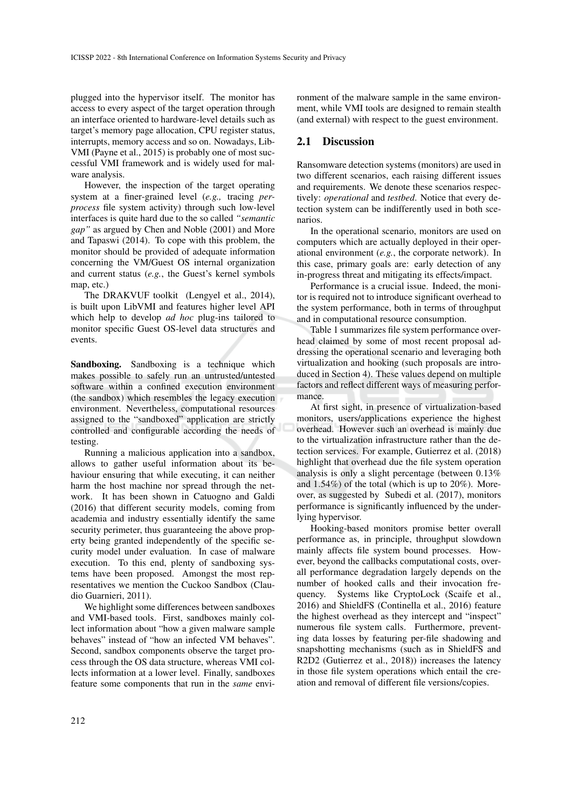plugged into the hypervisor itself. The monitor has access to every aspect of the target operation through an interface oriented to hardware-level details such as target's memory page allocation, CPU register status, interrupts, memory access and so on. Nowadays, Lib-VMI (Payne et al., 2015) is probably one of most successful VMI framework and is widely used for malware analysis.

However, the inspection of the target operating system at a finer-grained level (*e.g.,* tracing *perprocess* file system activity) through such low-level interfaces is quite hard due to the so called *"semantic gap"* as argued by Chen and Noble (2001) and More and Tapaswi (2014). To cope with this problem, the monitor should be provided of adequate information concerning the VM/Guest OS internal organization and current status (*e.g.*, the Guest's kernel symbols map, etc.)

The DRAKVUF toolkit (Lengyel et al., 2014), is built upon LibVMI and features higher level API which help to develop *ad hoc* plug-ins tailored to monitor specific Guest OS-level data structures and events.

Sandboxing. Sandboxing is a technique which makes possible to safely run an untrusted/untested software within a confined execution environment (the sandbox) which resembles the legacy execution environment. Nevertheless, computational resources assigned to the "sandboxed" application are strictly controlled and configurable according the needs of testing.

Running a malicious application into a sandbox, allows to gather useful information about its behaviour ensuring that while executing, it can neither harm the host machine nor spread through the network. It has been shown in Catuogno and Galdi (2016) that different security models, coming from academia and industry essentially identify the same security perimeter, thus guaranteeing the above property being granted independently of the specific security model under evaluation. In case of malware execution. To this end, plenty of sandboxing systems have been proposed. Amongst the most representatives we mention the Cuckoo Sandbox (Claudio Guarnieri, 2011).

We highlight some differences between sandboxes and VMI-based tools. First, sandboxes mainly collect information about "how a given malware sample behaves" instead of "how an infected VM behaves". Second, sandbox components observe the target process through the OS data structure, whereas VMI collects information at a lower level. Finally, sandboxes feature some components that run in the *same* environment of the malware sample in the same environment, while VMI tools are designed to remain stealth (and external) with respect to the guest environment.

### 2.1 Discussion

Ransomware detection systems (monitors) are used in two different scenarios, each raising different issues and requirements. We denote these scenarios respectively: *operational* and *testbed*. Notice that every detection system can be indifferently used in both scenarios.

In the operational scenario, monitors are used on computers which are actually deployed in their operational environment (*e.g.*, the corporate network). In this case, primary goals are: early detection of any in-progress threat and mitigating its effects/impact.

Performance is a crucial issue. Indeed, the monitor is required not to introduce significant overhead to the system performance, both in terms of throughput and in computational resource consumption.

Table 1 summarizes file system performance overhead claimed by some of most recent proposal addressing the operational scenario and leveraging both virtualization and hooking (such proposals are introduced in Section 4). These values depend on multiple factors and reflect different ways of measuring performance.

At first sight, in presence of virtualization-based monitors, users/applications experience the highest overhead. However such an overhead is mainly due to the virtualization infrastructure rather than the detection services. For example, Gutierrez et al. (2018) highlight that overhead due the file system operation analysis is only a slight percentage (between 0.13% and 1.54%) of the total (which is up to 20%). Moreover, as suggested by Subedi et al. (2017), monitors performance is significantly influenced by the underlying hypervisor.

Hooking-based monitors promise better overall performance as, in principle, throughput slowdown mainly affects file system bound processes. However, beyond the callbacks computational costs, overall performance degradation largely depends on the number of hooked calls and their invocation frequency. Systems like CryptoLock (Scaife et al., 2016) and ShieldFS (Continella et al., 2016) feature the highest overhead as they intercept and "inspect" numerous file system calls. Furthermore, preventing data losses by featuring per-file shadowing and snapshotting mechanisms (such as in ShieldFS and R2D2 (Gutierrez et al., 2018)) increases the latency in those file system operations which entail the creation and removal of different file versions/copies.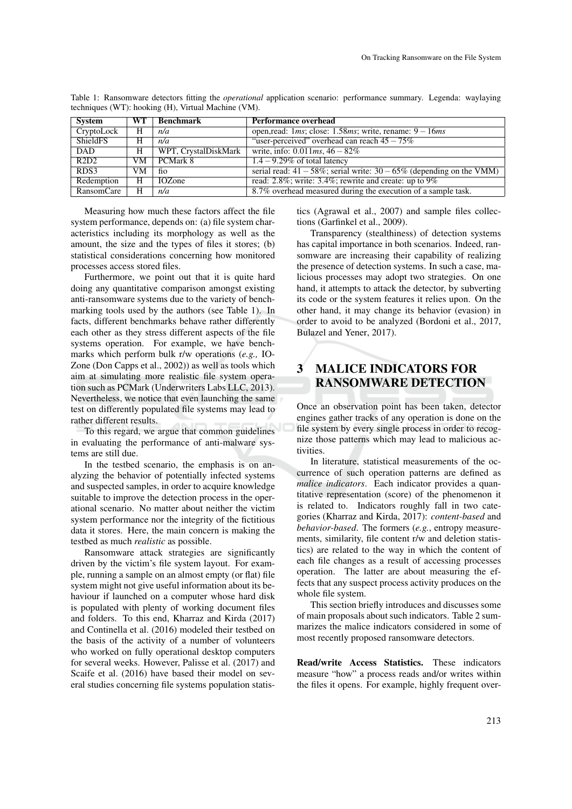| System     | WT - | <b>Benchmark</b>     | <b>Performance overhead</b>                                                 |
|------------|------|----------------------|-----------------------------------------------------------------------------|
| CryptoLock | H    | n/a                  | open, read: $1ms$ ; close: $1.58ms$ ; write, rename: $9 - 16ms$             |
| ShieldFS   | H    | n/a                  | "user-perceived" overhead can reach $45 - 75\%$                             |
| DAD        | H    | WPT, CrystalDiskMark | write, info: $0.011$ ms, $46 - 82\%$                                        |
| R2D2       | VM   | PCMark 8             | $1.4 - 9.29\%$ of total latency                                             |
| RDS3       | VM   | fio                  | serial read: $41 - 58\%$ ; serial write: $30 - 65\%$ (depending on the VMM) |
| Redemption | H    | <b>IOZone</b>        | read: 2.8%; write: 3.4%; rewrite and create: up to $9\%$                    |
| RansomCare | H    | n/a                  | 8.7% overhead measured during the execution of a sample task.               |

Table 1: Ransomware detectors fitting the *operational* application scenario: performance summary. Legenda: waylaying techniques (WT): hooking (H), Virtual Machine (VM).

Measuring how much these factors affect the file system performance, depends on: (a) file system characteristics including its morphology as well as the amount, the size and the types of files it stores; (b) statistical considerations concerning how monitored processes access stored files.

Furthermore, we point out that it is quite hard doing any quantitative comparison amongst existing anti-ransomware systems due to the variety of benchmarking tools used by the authors (see Table 1). In facts, different benchmarks behave rather differently each other as they stress different aspects of the file systems operation. For example, we have benchmarks which perform bulk r/w operations (*e.g.,* IO-Zone (Don Capps et al., 2002)) as well as tools which aim at simulating more realistic file system operation such as PCMark (Underwriters Labs LLC, 2013). Nevertheless, we notice that even launching the same test on differently populated file systems may lead to rather different results.

To this regard, we argue that common guidelines in evaluating the performance of anti-malware systems are still due.

In the testbed scenario, the emphasis is on analyzing the behavior of potentially infected systems and suspected samples, in order to acquire knowledge suitable to improve the detection process in the operational scenario. No matter about neither the victim system performance nor the integrity of the fictitious data it stores. Here, the main concern is making the testbed as much *realistic* as possible.

Ransomware attack strategies are significantly driven by the victim's file system layout. For example, running a sample on an almost empty (or flat) file system might not give useful information about its behaviour if launched on a computer whose hard disk is populated with plenty of working document files and folders. To this end, Kharraz and Kirda (2017) and Continella et al. (2016) modeled their testbed on the basis of the activity of a number of volunteers who worked on fully operational desktop computers for several weeks. However, Palisse et al. (2017) and Scaife et al. (2016) have based their model on several studies concerning file systems population statistics (Agrawal et al., 2007) and sample files collections (Garfinkel et al., 2009).

Transparency (stealthiness) of detection systems has capital importance in both scenarios. Indeed, ransomware are increasing their capability of realizing the presence of detection systems. In such a case, malicious processes may adopt two strategies. On one hand, it attempts to attack the detector, by subverting its code or the system features it relies upon. On the other hand, it may change its behavior (evasion) in order to avoid to be analyzed (Bordoni et al., 2017, Bulazel and Yener, 2017).

# 3 MALICE INDICATORS FOR RANSOMWARE DETECTION

Once an observation point has been taken, detector engines gather tracks of any operation is done on the file system by every single process in order to recognize those patterns which may lead to malicious activities.

In literature, statistical measurements of the occurrence of such operation patterns are defined as *malice indicators*. Each indicator provides a quantitative representation (score) of the phenomenon it is related to. Indicators roughly fall in two categories (Kharraz and Kirda, 2017): *content-based* and *behavior-based*. The formers (*e.g.*, entropy measurements, similarity, file content r/w and deletion statistics) are related to the way in which the content of each file changes as a result of accessing processes operation. The latter are about measuring the effects that any suspect process activity produces on the whole file system.

This section briefly introduces and discusses some of main proposals about such indicators. Table 2 summarizes the malice indicators considered in some of most recently proposed ransomware detectors.

Read/write Access Statistics. These indicators measure "how" a process reads and/or writes within the files it opens. For example, highly frequent over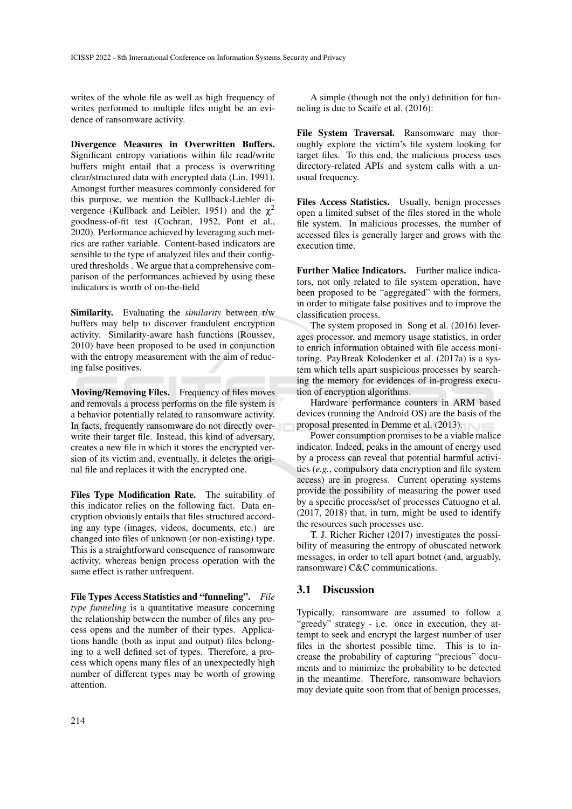writes of the whole file as well as high frequency of writes performed to multiple files might be an evidence of ransomware activity.

Divergence Measures in Overwritten Buffers. Significant entropy variations within file read/write buffers might entail that a process is overwriting clear/structured data with encrypted data (Lin, 1991). Amongst further measures commonly considered for this purpose, we mention the Kullback-Liebler divergence (Kullback and Leibler, 1951) and the  $\chi^2$ goodness-of-fit test (Cochran, 1952, Pont et al., 2020). Performance achieved by leveraging such metrics are rather variable. Content-based indicators are sensible to the type of analyzed files and their configured thresholds . We argue that a comprehensive comparison of the performances achieved by using these indicators is worth of on-the-field

Similarity. Evaluating the *similarity* between r/w buffers may help to discover fraudulent encryption activity. Similarity-aware hash functions (Roussev, 2010) have been proposed to be used in conjunction with the entropy measurement with the aim of reducing false positives.

Moving/Removing Files. Frequency of files moves and removals a process performs on the file system is a behavior potentially related to ransomware activity. In facts, frequently ransomware do not directly overwrite their target file. Instead, this kind of adversary, creates a new file in which it stores the encrypted version of its victim and, eventually, it deletes the original file and replaces it with the encrypted one.

Files Type Modification Rate. The suitability of this indicator relies on the following fact. Data encryption obviously entails that files structured according any type (images, videos, documents, etc.) are changed into files of unknown (or non-existing) type. This is a straightforward consequence of ransomware activity, whereas benign process operation with the same effect is rather unfrequent.

File Types Access Statistics and "funneling". *File type funneling* is a quantitative measure concerning the relationship between the number of files any process opens and the number of their types. Applications handle (both as input and output) files belonging to a well defined set of types. Therefore, a process which opens many files of an unexpectedly high number of different types may be worth of growing attention.

A simple (though not the only) definition for funneling is due to Scaife et al. (2016):

File System Traversal. Ransomware may thoroughly explore the victim's file system looking for target files. To this end, the malicious process uses directory-related APIs and system calls with a unusual frequency.

Files Access Statistics. Usually, benign processes open a limited subset of the files stored in the whole file system. In malicious processes, the number of accessed files is generally larger and grows with the execution time.

Further Malice Indicators. Further malice indicators, not only related to file system operation, have been proposed to be "aggregated" with the formers, in order to mitigate false positives and to improve the classification process.

The system proposed in Song et al. (2016) leverages processor, and memory usage statistics, in order to enrich information obtained with file access monitoring. PayBreak Kolodenker et al. (2017a) is a system which tells apart suspicious processes by searching the memory for evidences of in-progress execution of encryption algorithms.

Hardware performance counters in ARM based devices (running the Android OS) are the basis of the proposal presented in Demme et al. (2013).

Power consumption promises to be a viable malice indicator. Indeed, peaks in the amount of energy used by a process can reveal that potential harmful activities (*e.g.*, compulsory data encryption and file system access) are in progress. Current operating systems provide the possibility of measuring the power used by a specific process/set of processes Catuogno et al. (2017, 2018) that, in turn, might be used to identify the resources such processes use.

T. J. Richer Richer (2017) investigates the possibility of measuring the entropy of obuscated network messages, in order to tell apart botnet (and, arguably, ransomware) C&C communications.

#### 3.1 Discussion

Typically, ransomware are assumed to follow a "greedy" strategy - i.e. once in execution, they attempt to seek and encrypt the largest number of user files in the shortest possible time. This is to increase the probability of capturing "precious" documents and to minimize the probability to be detected in the meantime. Therefore, ransomware behaviors may deviate quite soon from that of benign processes,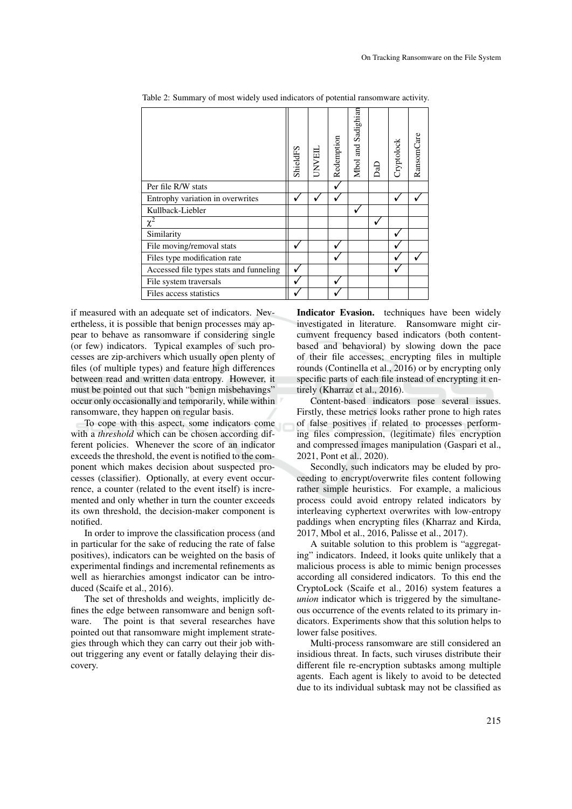|                                         | ShieldFS | UNVEL | Redemption | Mbol and Sadighian | م<br>م | Cryptolock | RansomCare |
|-----------------------------------------|----------|-------|------------|--------------------|--------|------------|------------|
| Per file R/W stats                      |          |       |            |                    |        |            |            |
| Entrophy variation in overwrites        |          |       |            |                    |        |            |            |
| Kullback-Liebler                        |          |       |            |                    |        |            |            |
| $\chi^2$                                |          |       |            |                    |        |            |            |
| Similarity                              |          |       |            |                    |        |            |            |
| File moving/removal stats               |          |       |            |                    |        |            |            |
| Files type modification rate            |          |       |            |                    |        |            |            |
| Accessed file types stats and funneling |          |       |            |                    |        |            |            |
| File system traversals                  |          |       |            |                    |        |            |            |
| Files access statistics                 |          |       |            |                    |        |            |            |

Table 2: Summary of most widely used indicators of potential ransomware activity.

if measured with an adequate set of indicators. Nevertheless, it is possible that benign processes may appear to behave as ransomware if considering single (or few) indicators. Typical examples of such processes are zip-archivers which usually open plenty of files (of multiple types) and feature high differences between read and written data entropy. However, it must be pointed out that such "benign misbehavings" occur only occasionally and temporarily, while within ransomware, they happen on regular basis.

To cope with this aspect, some indicators come with a *threshold* which can be chosen according different policies. Whenever the score of an indicator exceeds the threshold, the event is notified to the component which makes decision about suspected processes (classifier). Optionally, at every event occurrence, a counter (related to the event itself) is incremented and only whether in turn the counter exceeds its own threshold, the decision-maker component is notified.

In order to improve the classification process (and in particular for the sake of reducing the rate of false positives), indicators can be weighted on the basis of experimental findings and incremental refinements as well as hierarchies amongst indicator can be introduced (Scaife et al., 2016).

The set of thresholds and weights, implicitly defines the edge between ransomware and benign software. The point is that several researches have pointed out that ransomware might implement strategies through which they can carry out their job without triggering any event or fatally delaying their discovery.

Indicator Evasion. techniques have been widely investigated in literature. Ransomware might circumvent frequency based indicators (both contentbased and behavioral) by slowing down the pace of their file accesses; encrypting files in multiple rounds (Continella et al., 2016) or by encrypting only specific parts of each file instead of encrypting it entirely (Kharraz et al., 2016).

Content-based indicators pose several issues. Firstly, these metrics looks rather prone to high rates of false positives if related to processes performing files compression, (legitimate) files encryption and compressed images manipulation (Gaspari et al., 2021, Pont et al., 2020).

Secondly, such indicators may be eluded by proceeding to encrypt/overwrite files content following rather simple heuristics. For example, a malicious process could avoid entropy related indicators by interleaving cyphertext overwrites with low-entropy paddings when encrypting files (Kharraz and Kirda, 2017, Mbol et al., 2016, Palisse et al., 2017).

A suitable solution to this problem is "aggregating" indicators. Indeed, it looks quite unlikely that a malicious process is able to mimic benign processes according all considered indicators. To this end the CryptoLock (Scaife et al., 2016) system features a *union* indicator which is triggered by the simultaneous occurrence of the events related to its primary indicators. Experiments show that this solution helps to lower false positives.

Multi-process ransomware are still considered an insidious threat. In facts, such viruses distribute their different file re-encryption subtasks among multiple agents. Each agent is likely to avoid to be detected due to its individual subtask may not be classified as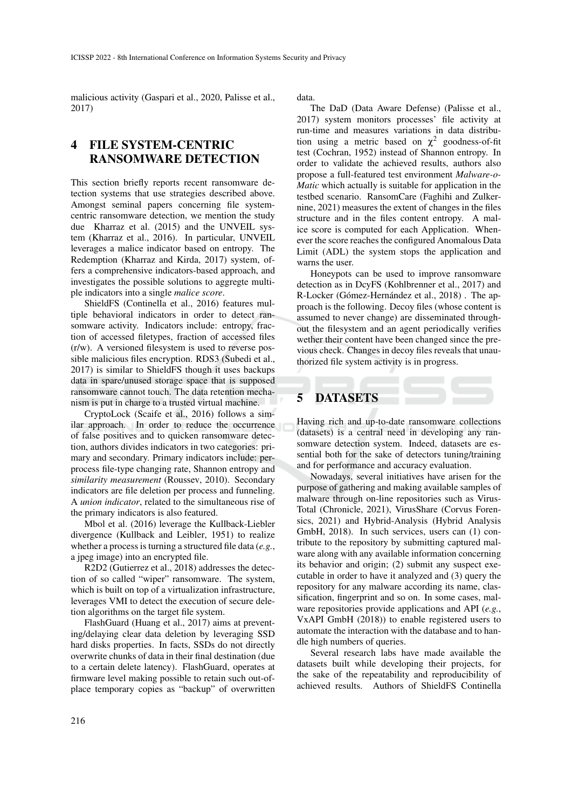malicious activity (Gaspari et al., 2020, Palisse et al., 2017)

# 4 FILE SYSTEM-CENTRIC RANSOMWARE DETECTION

This section briefly reports recent ransomware detection systems that use strategies described above. Amongst seminal papers concerning file systemcentric ransomware detection, we mention the study due Kharraz et al. (2015) and the UNVEIL system (Kharraz et al., 2016). In particular, UNVEIL leverages a malice indicator based on entropy. The Redemption (Kharraz and Kirda, 2017) system, offers a comprehensive indicators-based approach, and investigates the possible solutions to aggregte multiple indicators into a single *malice score*.

ShieldFS (Continella et al., 2016) features multiple behavioral indicators in order to detect ransomware activity. Indicators include: entropy, fraction of accessed filetypes, fraction of accessed files (r/w). A versioned filesystem is used to reverse possible malicious files encryption. RDS3 (Subedi et al., 2017) is similar to ShieldFS though it uses backups data in spare/unused storage space that is supposed ransomware cannot touch. The data retention mechanism is put in charge to a trusted virtual machine.

CryptoLock (Scaife et al., 2016) follows a similar approach. In order to reduce the occurrence of false positives and to quicken ransomware detection, authors divides indicators in two categories: primary and secondary. Primary indicators include: perprocess file-type changing rate, Shannon entropy and *similarity measurement* (Roussev, 2010). Secondary indicators are file deletion per process and funneling. A *union indicator*, related to the simultaneous rise of the primary indicators is also featured.

Mbol et al. (2016) leverage the Kullback-Liebler divergence (Kullback and Leibler, 1951) to realize whether a process is turning a structured file data (*e.g.*, a jpeg image) into an encrypted file.

R2D2 (Gutierrez et al., 2018) addresses the detection of so called "wiper" ransomware. The system, which is built on top of a virtualization infrastructure, leverages VMI to detect the execution of secure deletion algorithms on the target file system.

FlashGuard (Huang et al., 2017) aims at preventing/delaying clear data deletion by leveraging SSD hard disks properties. In facts, SSDs do not directly overwrite chunks of data in their final destination (due to a certain delete latency). FlashGuard, operates at firmware level making possible to retain such out-ofplace temporary copies as "backup" of overwritten

data.

The DaD (Data Aware Defense) (Palisse et al., 2017) system monitors processes' file activity at run-time and measures variations in data distribution using a metric based on  $\chi^2$  goodness-of-fit test (Cochran, 1952) instead of Shannon entropy. In order to validate the achieved results, authors also propose a full-featured test environment *Malware-o-Matic* which actually is suitable for application in the testbed scenario. RansomCare (Faghihi and Zulkernine, 2021) measures the extent of changes in the files structure and in the files content entropy. A malice score is computed for each Application. Whenever the score reaches the configured Anomalous Data Limit (ADL) the system stops the application and warns the user.

Honeypots can be used to improve ransomware detection as in DcyFS (Kohlbrenner et al., 2017) and R-Locker (Gómez-Hernández et al., 2018). The approach is the following. Decoy files (whose content is assumed to never change) are disseminated throughout the filesystem and an agent periodically verifies wether their content have been changed since the previous check. Changes in decoy files reveals that unauthorized file system activity is in progress.

# 5 DATASETS

Having rich and up-to-date ransomware collections (datasets) is a central need in developing any ransomware detection system. Indeed, datasets are essential both for the sake of detectors tuning/training and for performance and accuracy evaluation.

Nowadays, several initiatives have arisen for the purpose of gathering and making available samples of malware through on-line repositories such as Virus-Total (Chronicle, 2021), VirusShare (Corvus Forensics, 2021) and Hybrid-Analysis (Hybrid Analysis GmbH, 2018). In such services, users can (1) contribute to the repository by submitting captured malware along with any available information concerning its behavior and origin; (2) submit any suspect executable in order to have it analyzed and (3) query the repository for any malware according its name, classification, fingerprint and so on. In some cases, malware repositories provide applications and API (*e.g.*, VxAPI GmbH (2018)) to enable registered users to automate the interaction with the database and to handle high numbers of queries.

Several research labs have made available the datasets built while developing their projects, for the sake of the repeatability and reproducibility of achieved results. Authors of ShieldFS Continella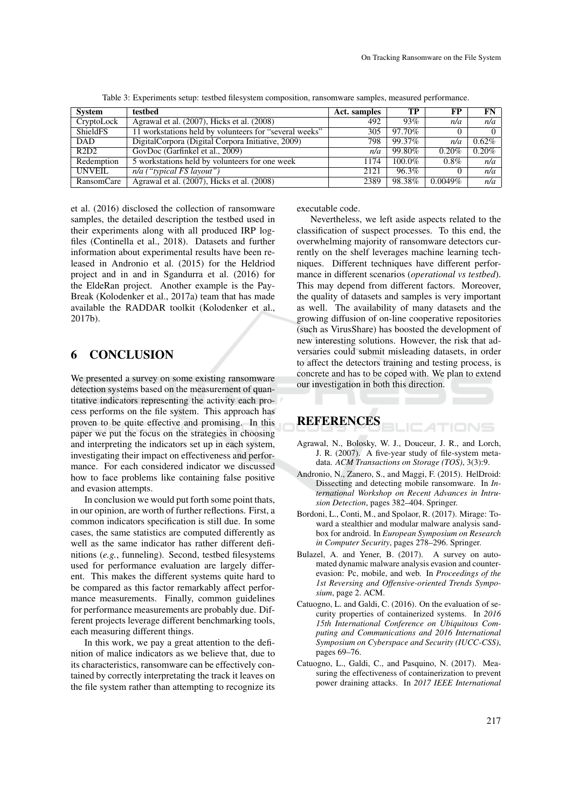| <b>System</b>   | testbed                                                | Act. samples | TP        | FP         | $FN$     |
|-----------------|--------------------------------------------------------|--------------|-----------|------------|----------|
| CryptoLock      | Agrawal et al. (2007), Hicks et al. (2008)             | 492          | 93%       | n/a        | n/a      |
| <b>ShieldFS</b> | 11 workstations held by volunteers for "several weeks" | 305          | 97.70%    |            | $\Omega$ |
| <b>DAD</b>      | DigitalCorpora (Digital Corpora Initiative, 2009)      | 798          | 99.37%    | n/a        | $0.62\%$ |
| R2D2            | GovDoc (Garfinkel et al., 2009)                        | n/a          | 99.80%    | 0.20%      | $0.20\%$ |
| Redemption      | 5 workstations held by volunteers for one week         | 1174         | $100.0\%$ | $0.8\%$    | n/a      |
| <b>UNVEIL</b>   | $n/a$ ("typical FS layout")                            | 2121         | 96.3%     |            | n/a      |
| RansomCare      | Agrawal et al. (2007), Hicks et al. (2008)             | 2389         | 98.38%    | $0.0049\%$ | n/a      |

Table 3: Experiments setup: testbed filesystem composition, ransomware samples, measured performance.

et al. (2016) disclosed the collection of ransomware samples, the detailed description the testbed used in their experiments along with all produced IRP logfiles (Continella et al., 2018). Datasets and further information about experimental results have been released in Andronio et al. (2015) for the Heldriod project and in and in Sgandurra et al. (2016) for the EldeRan project. Another example is the Pay-Break (Kolodenker et al., 2017a) team that has made available the RADDAR toolkit (Kolodenker et al., 2017b).

### 6 CONCLUSION

We presented a survey on some existing ransomware detection systems based on the measurement of quantitative indicators representing the activity each process performs on the file system. This approach has proven to be quite effective and promising. In this paper we put the focus on the strategies in choosing and interpreting the indicators set up in each system, investigating their impact on effectiveness and performance. For each considered indicator we discussed how to face problems like containing false positive and evasion attempts.

In conclusion we would put forth some point thats, in our opinion, are worth of further reflections. First, a common indicators specification is still due. In some cases, the same statistics are computed differently as well as the same indicator has rather different definitions (*e.g.*, funneling). Second, testbed filesystems used for performance evaluation are largely different. This makes the different systems quite hard to be compared as this factor remarkably affect performance measurements. Finally, common guidelines for performance measurements are probably due. Different projects leverage different benchmarking tools, each measuring different things.

In this work, we pay a great attention to the definition of malice indicators as we believe that, due to its characteristics, ransomware can be effectively contained by correctly interpretating the track it leaves on the file system rather than attempting to recognize its executable code.

Nevertheless, we left aside aspects related to the classification of suspect processes. To this end, the overwhelming majority of ransomware detectors currently on the shelf leverages machine learning techniques. Different techniques have different performance in different scenarios (*operational vs testbed*). This may depend from different factors. Moreover, the quality of datasets and samples is very important as well. The availability of many datasets and the growing diffusion of on-line cooperative repositories (such as VirusShare) has boosted the development of new interesting solutions. However, the risk that adversaries could submit misleading datasets, in order to affect the detectors training and testing process, is concrete and has to be coped with. We plan to extend our investigation in both this direction.

# REFERENCES

Agrawal, N., Bolosky, W. J., Douceur, J. R., and Lorch, J. R. (2007). A five-year study of file-system metadata. *ACM Transactions on Storage (TOS)*, 3(3):9.

ATIONS

- Andronio, N., Zanero, S., and Maggi, F. (2015). HelDroid: Dissecting and detecting mobile ransomware. In *International Workshop on Recent Advances in Intrusion Detection*, pages 382–404. Springer.
- Bordoni, L., Conti, M., and Spolaor, R. (2017). Mirage: Toward a stealthier and modular malware analysis sandbox for android. In *European Symposium on Research in Computer Security*, pages 278–296. Springer.
- Bulazel, A. and Yener, B. (2017). A survey on automated dynamic malware analysis evasion and counterevasion: Pc, mobile, and web. In *Proceedings of the 1st Reversing and Offensive-oriented Trends Symposium*, page 2. ACM.
- Catuogno, L. and Galdi, C. (2016). On the evaluation of security properties of containerized systems. In *2016 15th International Conference on Ubiquitous Computing and Communications and 2016 International Symposium on Cyberspace and Security (IUCC-CSS)*, pages 69–76.
- Catuogno, L., Galdi, C., and Pasquino, N. (2017). Measuring the effectiveness of containerization to prevent power draining attacks. In *2017 IEEE International*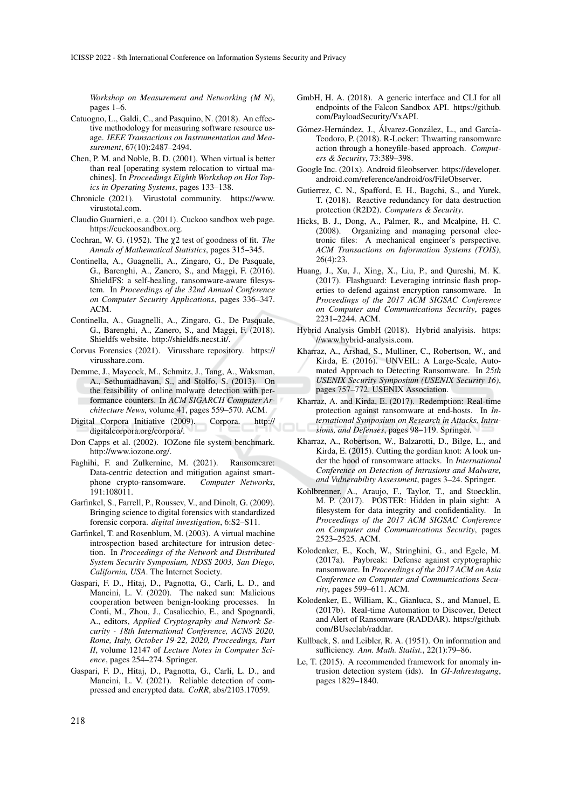*Workshop on Measurement and Networking (M N)*, pages 1–6.

- Catuogno, L., Galdi, C., and Pasquino, N. (2018). An effective methodology for measuring software resource usage. *IEEE Transactions on Instrumentation and Measurement*, 67(10):2487–2494.
- Chen, P. M. and Noble, B. D. (2001). When virtual is better than real [operating system relocation to virtual machines]. In *Proceedings Eighth Workshop on Hot Topics in Operating Systems*, pages 133–138.
- Chronicle (2021). Virustotal community. https://www. virustotal.com.
- Claudio Guarnieri, e. a. (2011). Cuckoo sandbox web page. https://cuckoosandbox.org.
- Cochran, W. G. (1952). The χ2 test of goodness of fit. *The Annals of Mathematical Statistics*, pages 315–345.
- Continella, A., Guagnelli, A., Zingaro, G., De Pasquale, G., Barenghi, A., Zanero, S., and Maggi, F. (2016). ShieldFS: a self-healing, ransomware-aware filesystem. In *Proceedings of the 32nd Annual Conference on Computer Security Applications*, pages 336–347. ACM.
- Continella, A., Guagnelli, A., Zingaro, G., De Pasquale, G., Barenghi, A., Zanero, S., and Maggi, F. (2018). Shieldfs website. http://shieldfs.necst.it/.
- Corvus Forensics (2021). Virusshare repository. https:// virusshare.com.
- Demme, J., Maycock, M., Schmitz, J., Tang, A., Waksman, A., Sethumadhavan, S., and Stolfo, S. (2013). On the feasibility of online malware detection with performance counters. In *ACM SIGARCH Computer Architecture News*, volume 41, pages 559–570. ACM.
- Digital Corpora Initiative (2009). Corpora. http:// digitalcorpora.org/corpora/.
- Don Capps et al. (2002). IOZone file system benchmark. http://www.iozone.org/.
- Faghihi, F. and Zulkernine, M. (2021). Ransomcare: Data-centric detection and mitigation against smartphone crypto-ransomware. *Computer Networks*, 191:108011.
- Garfinkel, S., Farrell, P., Roussev, V., and Dinolt, G. (2009). Bringing science to digital forensics with standardized forensic corpora. *digital investigation*, 6:S2–S11.
- Garfinkel, T. and Rosenblum, M. (2003). A virtual machine introspection based architecture for intrusion detection. In *Proceedings of the Network and Distributed System Security Symposium, NDSS 2003, San Diego, California, USA*. The Internet Society.
- Gaspari, F. D., Hitaj, D., Pagnotta, G., Carli, L. D., and Mancini, L. V. (2020). The naked sun: Malicious cooperation between benign-looking processes. In Conti, M., Zhou, J., Casalicchio, E., and Spognardi, A., editors, *Applied Cryptography and Network Security - 18th International Conference, ACNS 2020, Rome, Italy, October 19-22, 2020, Proceedings, Part II*, volume 12147 of *Lecture Notes in Computer Science*, pages 254–274. Springer.
- Gaspari, F. D., Hitaj, D., Pagnotta, G., Carli, L. D., and Mancini, L. V. (2021). Reliable detection of compressed and encrypted data. *CoRR*, abs/2103.17059.
- GmbH, H. A. (2018). A generic interface and CLI for all endpoints of the Falcon Sandbox API. https://github. com/PayloadSecurity/VxAPI.
- Gómez-Hernández, J., Álvarez-González, L., and García-Teodoro, P. (2018). R-Locker: Thwarting ransomware action through a honeyfile-based approach. *Computers & Security*, 73:389–398.
- Google Inc. (201x). Android fileobserver. https://developer. android.com/reference/android/os/FileObserver.
- Gutierrez, C. N., Spafford, E. H., Bagchi, S., and Yurek, T. (2018). Reactive redundancy for data destruction protection (R2D2). *Computers & Security*.
- Hicks, B. J., Dong, A., Palmer, R., and Mcalpine, H. C. (2008). Organizing and managing personal electronic files: A mechanical engineer's perspective. *ACM Transactions on Information Systems (TOIS)*, 26(4):23.
- Huang, J., Xu, J., Xing, X., Liu, P., and Qureshi, M. K. (2017). Flashguard: Leveraging intrinsic flash properties to defend against encryption ransomware. In *Proceedings of the 2017 ACM SIGSAC Conference on Computer and Communications Security*, pages 2231–2244. ACM.
- Hybrid Analysis GmbH (2018). Hybrid analyisis. https: //www.hybrid-analysis.com.
- Kharraz, A., Arshad, S., Mulliner, C., Robertson, W., and Kirda, E. (2016). UNVEIL: A Large-Scale, Automated Approach to Detecting Ransomware. In *25th USENIX Security Symposium (USENIX Security 16)*, pages 757–772. USENIX Association.
- Kharraz, A. and Kirda, E. (2017). Redemption: Real-time protection against ransomware at end-hosts. In *International Symposium on Research in Attacks, Intrusions, and Defenses*, pages 98–119. Springer.
- Kharraz, A., Robertson, W., Balzarotti, D., Bilge, L., and Kirda, E. (2015). Cutting the gordian knot: A look under the hood of ransomware attacks. In *International Conference on Detection of Intrusions and Malware, and Vulnerability Assessment*, pages 3–24. Springer.
- Kohlbrenner, A., Araujo, F., Taylor, T., and Stoecklin, M. P. (2017). POSTER: Hidden in plain sight: A filesystem for data integrity and confidentiality. In *Proceedings of the 2017 ACM SIGSAC Conference on Computer and Communications Security*, pages 2523–2525. ACM.
- Kolodenker, E., Koch, W., Stringhini, G., and Egele, M. (2017a). Paybreak: Defense against cryptographic ransomware. In *Proceedings of the 2017 ACM on Asia Conference on Computer and Communications Security*, pages 599–611. ACM.
- Kolodenker, E., William, K., Gianluca, S., and Manuel, E. (2017b). Real-time Automation to Discover, Detect and Alert of Ransomware (RADDAR). https://github. com/BUseclab/raddar.
- Kullback, S. and Leibler, R. A. (1951). On information and sufficiency. *Ann. Math. Statist.*, 22(1):79–86.
- Le, T. (2015). A recommended framework for anomaly intrusion detection system (ids). In *GI-Jahrestagung*, pages 1829–1840.